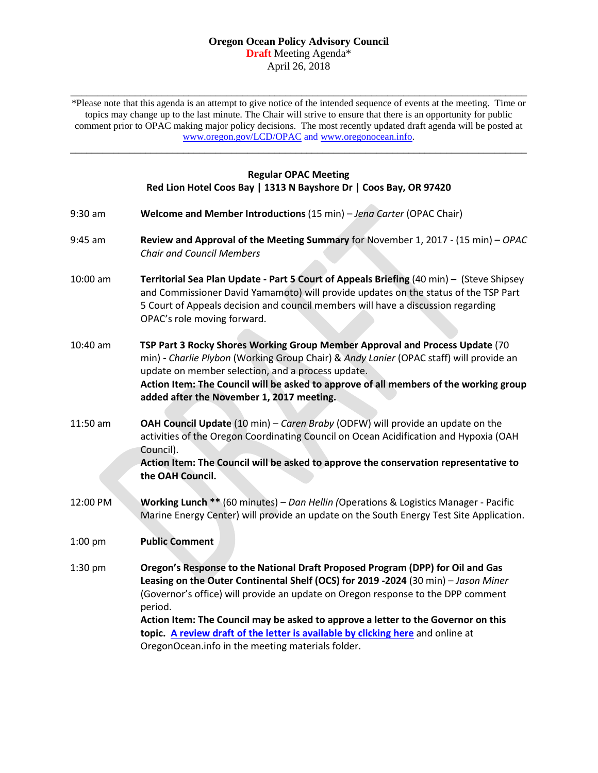#### **Oregon Ocean Policy Advisory Council Draft** Meeting Agenda\* April 26, 2018

\_\_\_\_\_\_\_\_\_\_\_\_\_\_\_\_\_\_\_\_\_\_\_\_\_\_\_\_\_\_\_\_\_\_\_\_\_\_\_\_\_\_\_\_\_\_\_\_\_\_\_\_\_\_\_\_\_\_\_\_\_\_\_\_\_\_\_\_\_\_\_\_\_\_\_\_\_\_\_\_\_\_\_\_\_ \*Please note that this agenda is an attempt to give notice of the intended sequence of events at the meeting. Time or topics may change up to the last minute. The Chair will strive to ensure that there is an opportunity for public comment prior to OPAC making major policy decisions. The most recently updated draft agenda will be posted at [www.oregon.gov/LCD/OPAC](http://www.oregon.gov/LCD/OPAC) and [www.oregonocean.info.](http://www.oregonocean.info/)

## **Regular OPAC Meeting Red Lion Hotel Coos Bay | 1313 N Bayshore Dr | Coos Bay, OR 97420**

\_\_\_\_\_\_\_\_\_\_\_\_\_\_\_\_\_\_\_\_\_\_\_\_\_\_\_\_\_\_\_\_\_\_\_\_\_\_\_\_\_\_\_\_\_\_\_\_\_\_\_\_\_\_\_\_\_\_\_\_\_\_\_\_\_\_\_\_\_\_\_\_\_\_\_\_\_\_\_\_\_\_\_\_\_

- 9:30 am **Welcome and Member Introductions** (15 min) *Jena Carter* (OPAC Chair)
- 9:45 am **Review and Approval of the Meeting Summary** for November 1, 2017 (15 min) *OPAC Chair and Council Members*
- 10:00 am **Territorial Sea Plan Update - Part 5 Court of Appeals Briefing** (40 min) **–** (Steve Shipsey and Commissioner David Yamamoto) will provide updates on the status of the TSP Part 5 Court of Appeals decision and council members will have a discussion regarding OPAC's role moving forward.
- 10:40 am **TSP Part 3 Rocky Shores Working Group Member Approval and Process Update** (70 min) **-** *Charlie Plybon* (Working Group Chair) & *Andy Lanier* (OPAC staff) will provide an update on member selection, and a process update. **Action Item: The Council will be asked to approve of all members of the working group added after the November 1, 2017 meeting.**
- 11:50 am **OAH Council Update** (10 min) *Caren Braby* (ODFW) will provide an update on the activities of the Oregon Coordinating Council on Ocean Acidification and Hypoxia (OAH Council).

**Action Item: The Council will be asked to approve the conservation representative to the OAH Council.** 

12:00 PM **Working Lunch \*\*** (60 minutes) – *Dan Hellin (*Operations & Logistics Manager - Pacific Marine Energy Center) will provide an update on the South Energy Test Site Application.

1:00 pm **Public Comment**

1:30 pm **Oregon's Response to the National Draft Proposed Program (DPP) for Oil and Gas Leasing on the Outer Continental Shelf (OCS) for 2019 -2024** (30 min) – *Jason Miner* (Governor's office) will provide an update on Oregon response to the DPP comment period.

> **Action Item: The Council may be asked to approve a letter to the Governor on this topic. [A review draft of the letter is available by clicking here](http://oregonocean.info/index.php/opac-documents/meetings-1/2018-4-26/1711-draft-ocs-lease-thank-you-letter-4-12-2018/file)** and online at [OregonOcean.info in the meeting materials folder.](http://oregonocean.info/index.php/opac-documents/meetings-1/2018-4-26/1711-draft-ocs-lease-thank-you-letter-4-12-2018/file)